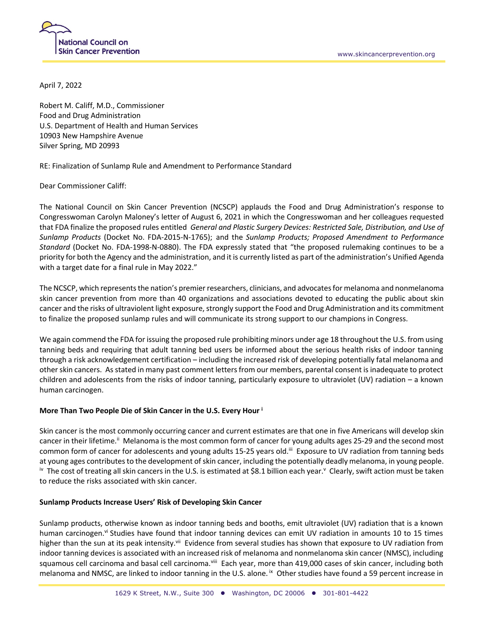April 7, 2022

Robert M. Califf, M.D., Commissioner Food and Drug Administration U.S. Department of Health and Human Services 10903 New Hampshire Avenue Silver Spring, MD 20993

RE: Finalization of Sunlamp Rule and Amendment to Performance Standard

Dear Commissioner Califf:

The National Council on Skin Cancer Prevention (NCSCP) applauds the Food and Drug Administration's response to Congresswoman Carolyn Maloney's letter of August 6, 2021 in which the Congresswoman and her colleagues requested that FDA finalize the proposed rules entitled *General and Plastic Surgery Devices: Restricted Sale, Distribution, and Use of Sunlamp Products* (Docket No. FDA-2015-N-1765); and the *Sunlamp Products; Proposed Amendment to Performance Standard* (Docket No. FDA-1998-N-0880). The FDA expressly stated that "the proposed rulemaking continues to be a priority for both the Agency and the administration, and it is currently listed as part of the administration's Unified Agenda with a target date for a final rule in May 2022."

The NCSCP, which represents the nation's premier researchers, clinicians, and advocates for melanoma and nonmelanoma skin cancer prevention from more than 40 organizations and associations devoted to educating the public about skin cancer and the risks of ultraviolent light exposure, strongly support the Food and Drug Administration and its commitment to finalize the proposed sunlamp rules and will communicate its strong support to our champions in Congress.

We again commend the FDA for issuing the proposed rule prohibiting minors under age 18 throughout the U.S. from using tanning beds and requiring that adult tanning bed users be informed about the serious health risks of indoor tanning through a risk acknowledgement certification – including the increased risk of developing potentially fatal melanoma and other skin cancers. As stated in many past comment letters from our members, parental consent is inadequate to protect children and adolescents from the risks of indoor tanning, particularly exposure to ultraviolet (UV) radiation – a known human carcinogen.

## **More Than Two People Die of Skin Cancer in the U.S. Every Hour <sup>i</sup>**

Skin cancer is the most commonly occurring cancer and current estimates are that one in five Americans will develop skin cancer in their lifetime.<sup>ii</sup> Melanoma is the most common form of cancer for young adults ages 25-29 and the second most common form of cancer for adolescents and young adults 15-25 years old.<sup>iii</sup> Exposure to UV radiation from tanning beds at young ages contributes to the development of skin cancer, including the potentially deadly melanoma, in young people. iv The cost of treating all skin cancers in the U.S. is estimated at \$8.1 billion each year.<sup>v</sup> Clearly, swift action must be taken to reduce the risks associated with skin cancer.

## **Sunlamp Products Increase Users' Risk of Developing Skin Cancer**

Sunlamp products, otherwise known as indoor tanning beds and booths, emit ultraviolet (UV) radiation that is a known human carcinogen.<sup>vi</sup> Studies have found that indoor tanning devices can emit UV radiation in amounts 10 to 15 times higher than the sun at its peak intensity.<sup>vii</sup> Evidence from several studies has shown that exposure to UV radiation from indoor tanning devices is associated with an increased risk of melanoma and nonmelanoma skin cancer (NMSC), including squamous cell carcinoma and basal cell carcinoma.<sup>viii</sup> Each year, more than 419,000 cases of skin cancer, including both melanoma and NMSC, are linked to indoor tanning in the U.S. alone. <sup>ix</sup> Other studies have found a 59 percent increase in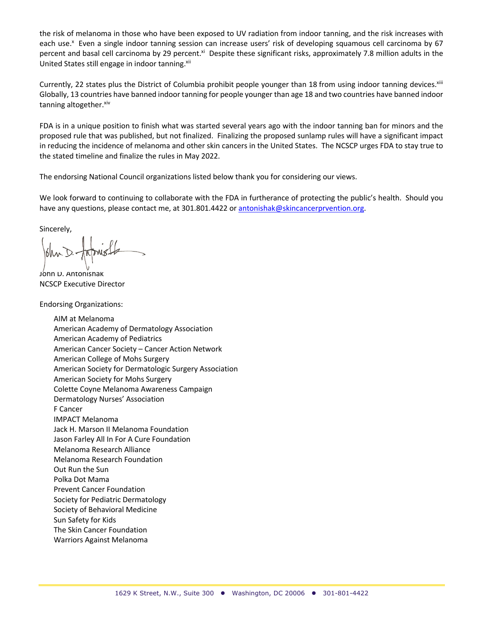the risk of melanoma in those who have been exposed to UV radiation from indoor tanning, and the risk increases with each use.<sup>x</sup> Even a single indoor tanning session can increase users' risk of developing squamous cell carcinoma by 67 percent and basal cell carcinoma by 29 percent.<sup>xi</sup> Despite these significant risks, approximately 7.8 million adults in the United States still engage in indoor tanning. xii

Currently, 22 states plus the District of Columbia prohibit people younger than 18 from using indoor tanning devices. $x^{iij}$ Globally, 13 countries have banned indoor tanning for people younger than age 18 and two countries have banned indoor tanning altogether. xiv

FDA is in a unique position to finish what was started several years ago with the indoor tanning ban for minors and the proposed rule that was published, but not finalized. Finalizing the proposed sunlamp rules will have a significant impact in reducing the incidence of melanoma and other skin cancers in the United States. The NCSCP urges FDA to stay true to the stated timeline and finalize the rules in May 2022.

The endorsing National Council organizations listed below thank you for considering our views.

We look forward to continuing to collaborate with the FDA in furtherance of protecting the public's health. Should you have any questions, please contact me, at 301.801.4422 or antonishak@skincancerprvention.org.

Sincerely,

John D. Antonishak NCSCP Executive Director

Endorsing Organizations:

AIM at Melanoma American Academy of Dermatology Association American Academy of Pediatrics American Cancer Society – Cancer Action Network American College of Mohs Surgery American Society for Dermatologic Surgery Association American Society for Mohs Surgery Colette Coyne Melanoma Awareness Campaign Dermatology Nurses' Association F Cancer IMPACT Melanoma Jack H. Marson II Melanoma Foundation Jason Farley All In For A Cure Foundation Melanoma Research Alliance Melanoma Research Foundation Out Run the Sun Polka Dot Mama Prevent Cancer Foundation Society for Pediatric Dermatology Society of Behavioral Medicine Sun Safety for Kids The Skin Cancer Foundation Warriors Against Melanoma